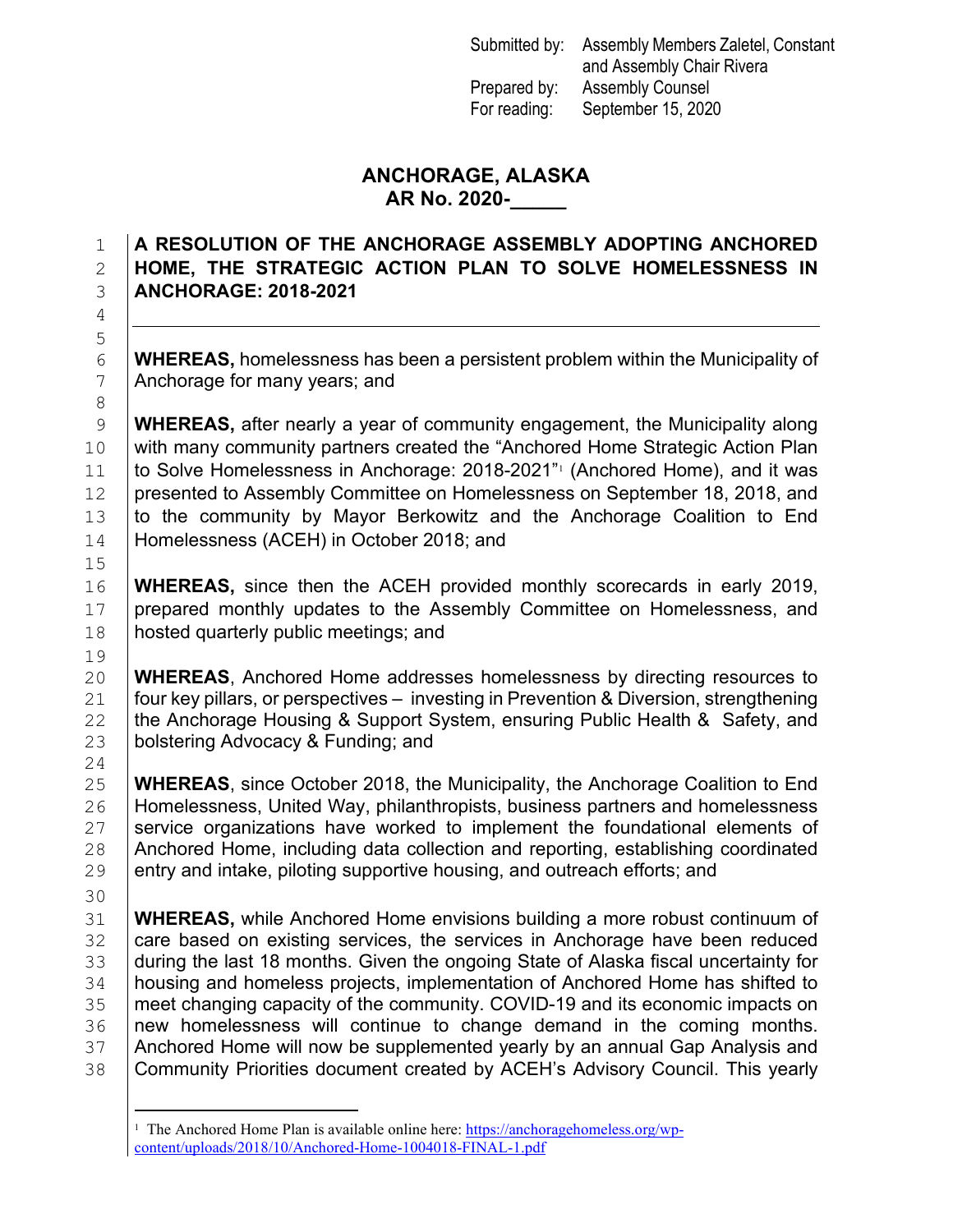Submitted by: Assembly Members Zaletel, Constant and Assembly Chair Rivera Prepared by: Assembly Counsel For reading: September 15, 2020

## **ANCHORAGE, ALASKA AR No. 2020-\_\_\_\_\_**

## 1 **A RESOLUTION OF THE ANCHORAGE ASSEMBLY ADOPTING ANCHORED**  2 **HOME, THE STRATEGIC ACTION PLAN TO SOLVE HOMELESSNESS IN**  3 **ANCHORAGE: 2018-2021**

6 **WHEREAS,** homelessness has been a persistent problem within the Municipality of <br>7 Anchorage for many vears: and Anchorage for many years; and

9 **WHEREAS,** after nearly a year of community engagement, the Municipality along 10 with many community partners created the "Anchored Home Strategic Action Plan [1](#page-0-0)1  $\mid$  to Solve Homelessness in Anchorage: 2018-2021" (Anchored Home), and it was 12 presented to Assembly Committee on Homelessness on September 18, 2018, and 13 to the community by Mayor Berkowitz and the Anchorage Coalition to End 14 | Homelessness (ACEH) in October 2018; and

16 **WHEREAS,** since then the ACEH provided monthly scorecards in early 2019, 17 prepared monthly updates to the Assembly Committee on Homelessness, and 18 | hosted quarterly public meetings; and

20 **WHEREAS**, Anchored Home addresses homelessness by directing resources to 21 four key pillars, or perspectives – investing in Prevention & Diversion, strengthening 21 four key pillars, or perspectives – investing in Prevention & Diversion, strengthening<br>22 the Anchorage Housing & Support System, ensuring Public Health & Safety, and 22 the Anchorage Housing & Support System, ensuring Public Health & Safety, and 23 bolstering Advocacy & Funding; and bolstering Advocacy & Funding; and

25 **WHEREAS**, since October 2018, the Municipality, the Anchorage Coalition to End<br>26 **Homelessness, United Way, philanthropists, business partners and homelessness** 26 Homelessness, United Way, philanthropists, business partners and homelessness<br>27 Service organizations have worked to implement the foundational elements of 27 Service organizations have worked to implement the foundational elements of 28 Anchored Home including data collection and reporting coordinated 28 Anchored Home, including data collection and reporting, establishing coordinated <br>29 entry and intake, piloting supportive housing, and outreach efforts; and entry and intake, piloting supportive housing, and outreach efforts; and

30

4

5

8

15

19<br>20

24

31 **WHEREAS,** while Anchored Home envisions building a more robust continuum of  $\overline{32}$  care based on existing services, the services in Anchorage have been reduced 32 Loare based on existing services, the services in Anchorage have been reduced<br>33 Louring the last 18 months. Given the ongoing State of Alaska fiscal uncertainty for 33 |during the last 18 months. Given the ongoing State of Alaska fiscal uncertainty for<br>34 |housing and homeless projects, implementation of Anchored Home has shifted to 34 A housing and homeless projects, implementation of Anchored Home has shifted to<br>35 Ameet changing capacity of the community. COVID-19 and its economic impacts on 35 I meet changing capacity of the community. COVID-19 and its economic impacts on<br>36 I new homelessness will continue to change demand in the coming months. 36 | new homelessness will continue to change demand in the coming months.<br>37 | Anchored Home will now be supplemented vearly by an annual Gap Analysis and 37 Anchored Home will now be supplemented yearly by an annual Gap Analysis and<br>38 Community Priorities document created by ACEH's Advisory Council. This yearly Community Priorities document created by ACEH's Advisory Council. This yearly

<span id="page-0-0"></span><sup>&</sup>lt;sup>1</sup> The Anchored Home Plan is available online here: [https://anchoragehomeless.org/wp](https://anchoragehomeless.org/wp-content/uploads/2018/10/Anchored-Home-1004018-FINAL-1.pdf)[content/uploads/2018/10/Anchored-Home-1004018-FINAL-1.pdf](https://anchoragehomeless.org/wp-content/uploads/2018/10/Anchored-Home-1004018-FINAL-1.pdf)